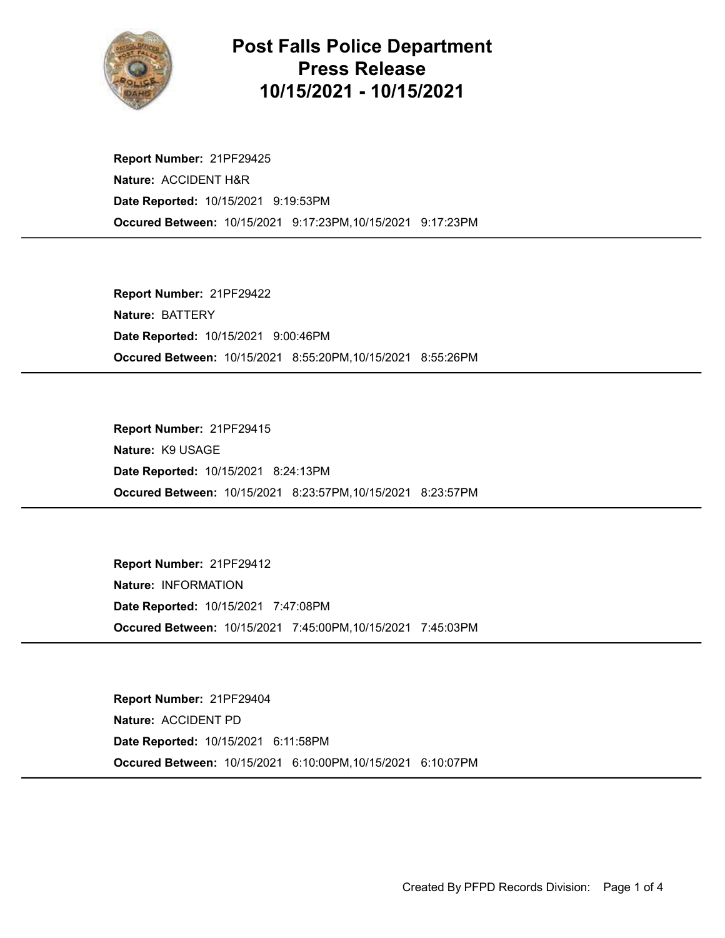

## Post Falls Police Department Press Release 10/15/2021 - 10/15/2021

Occured Between: 10/15/2021 9:17:23PM,10/15/2021 9:17:23PM Report Number: 21PF29425 Nature: ACCIDENT H&R Date Reported: 10/15/2021 9:19:53PM

Occured Between: 10/15/2021 8:55:20PM,10/15/2021 8:55:26PM Report Number: 21PF29422 Nature: BATTERY Date Reported: 10/15/2021 9:00:46PM

Occured Between: 10/15/2021 8:23:57PM,10/15/2021 8:23:57PM Report Number: 21PF29415 Nature: K9 USAGE Date Reported: 10/15/2021 8:24:13PM

Occured Between: 10/15/2021 7:45:00PM,10/15/2021 7:45:03PM Report Number: 21PF29412 Nature: INFORMATION Date Reported: 10/15/2021 7:47:08PM

Occured Between: 10/15/2021 6:10:00PM,10/15/2021 6:10:07PM Report Number: 21PF29404 Nature: ACCIDENT PD Date Reported: 10/15/2021 6:11:58PM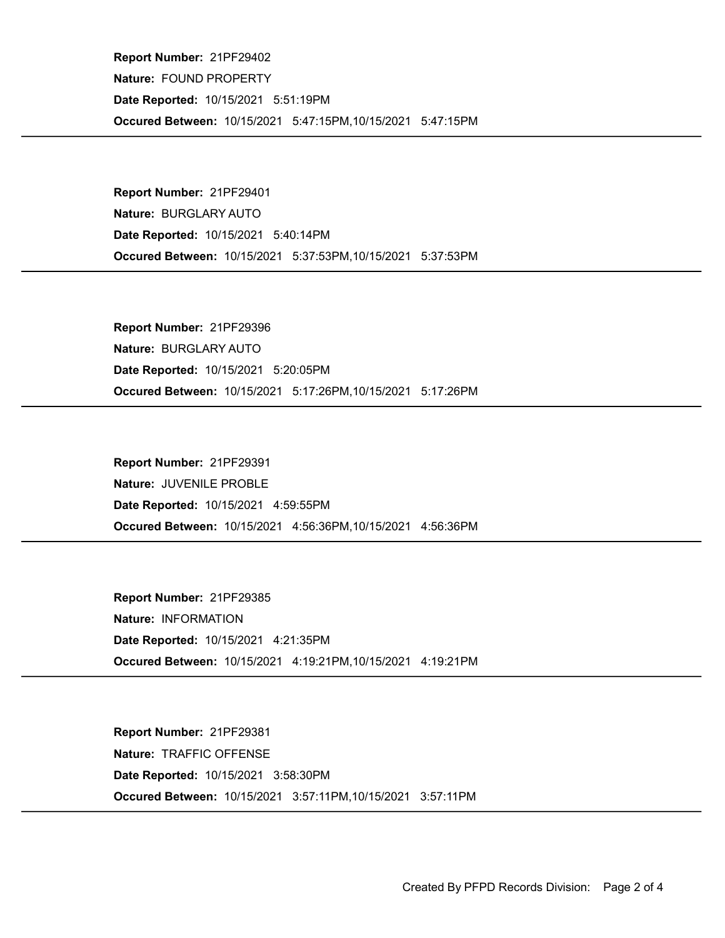Occured Between: 10/15/2021 5:47:15PM,10/15/2021 5:47:15PM Report Number: 21PF29402 Nature: FOUND PROPERTY Date Reported: 10/15/2021 5:51:19PM

Occured Between: 10/15/2021 5:37:53PM,10/15/2021 5:37:53PM Report Number: 21PF29401 Nature: BURGLARY AUTO Date Reported: 10/15/2021 5:40:14PM

Occured Between: 10/15/2021 5:17:26PM,10/15/2021 5:17:26PM Report Number: 21PF29396 Nature: BURGLARY AUTO Date Reported: 10/15/2021 5:20:05PM

Occured Between: 10/15/2021 4:56:36PM,10/15/2021 4:56:36PM Report Number: 21PF29391 Nature: JUVENILE PROBLE Date Reported: 10/15/2021 4:59:55PM

Occured Between: 10/15/2021 4:19:21PM,10/15/2021 4:19:21PM Report Number: 21PF29385 Nature: INFORMATION Date Reported: 10/15/2021 4:21:35PM

Occured Between: 10/15/2021 3:57:11PM,10/15/2021 3:57:11PM Report Number: 21PF29381 Nature: TRAFFIC OFFENSE Date Reported: 10/15/2021 3:58:30PM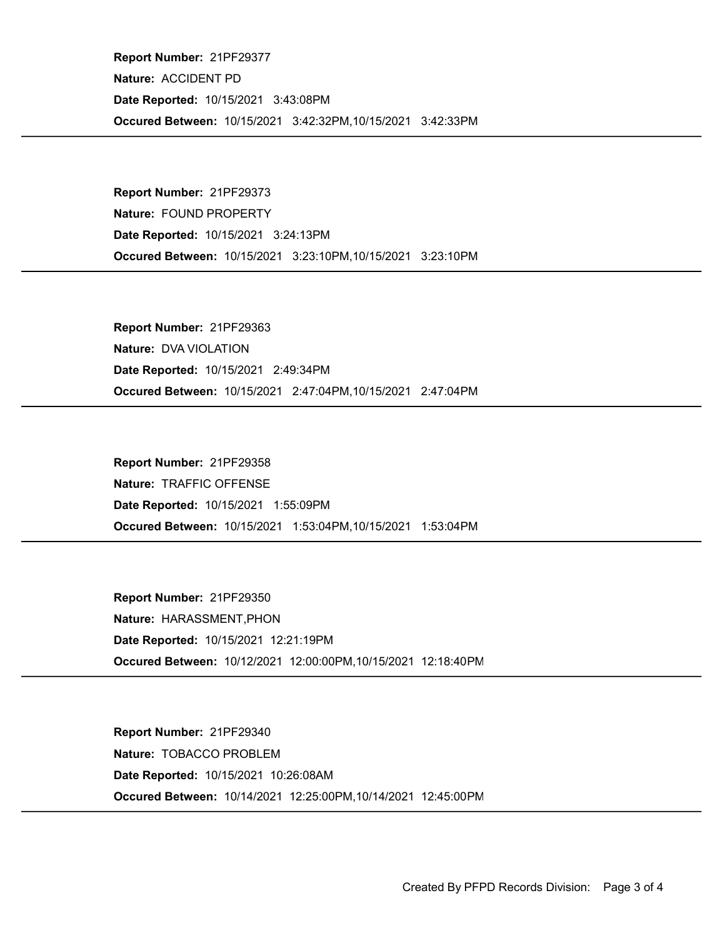Occured Between: 10/15/2021 3:42:32PM,10/15/2021 3:42:33PM Report Number: 21PF29377 Nature: ACCIDENT PD Date Reported: 10/15/2021 3:43:08PM

Occured Between: 10/15/2021 3:23:10PM,10/15/2021 3:23:10PM Report Number: 21PF29373 Nature: FOUND PROPERTY Date Reported: 10/15/2021 3:24:13PM

Occured Between: 10/15/2021 2:47:04PM,10/15/2021 2:47:04PM Report Number: 21PF29363 Nature: DVA VIOLATION Date Reported: 10/15/2021 2:49:34PM

Occured Between: 10/15/2021 1:53:04PM,10/15/2021 1:53:04PM Report Number: 21PF29358 Nature: TRAFFIC OFFENSE Date Reported: 10/15/2021 1:55:09PM

Occured Between: 10/12/2021 12:00:00PM,10/15/2021 12:18:40PM Report Number: 21PF29350 Nature: HARASSMENT,PHON Date Reported: 10/15/2021 12:21:19PM

Occured Between: 10/14/2021 12:25:00PM,10/14/2021 12:45:00PM Report Number: 21PF29340 Nature: TOBACCO PROBLEM Date Reported: 10/15/2021 10:26:08AM